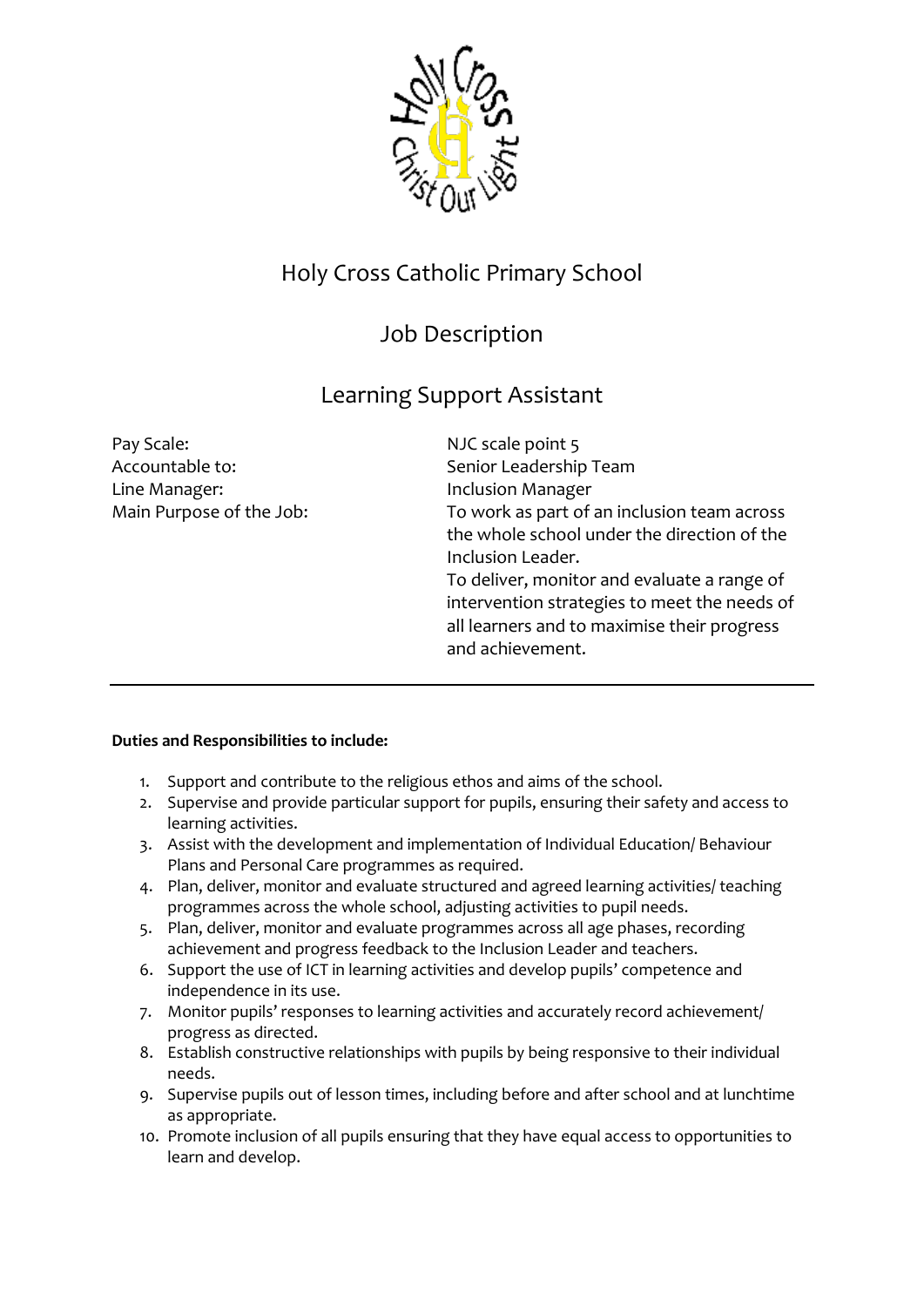

## Holy Cross Catholic Primary School

## Job Description

## Learning Support Assistant

Pay Scale: NJC scale point 5 Accountable to: Senior Leadership Team Line Manager: Inclusion Manager

Main Purpose of the Job: To work as part of an inclusion team across the whole school under the direction of the Inclusion Leader. To deliver, monitor and evaluate a range of intervention strategies to meet the needs of all learners and to maximise their progress and achievement.

## **Duties and Responsibilities to include:**

- 1. Support and contribute to the religious ethos and aims of the school.
- 2. Supervise and provide particular support for pupils, ensuring their safety and access to learning activities.
- 3. Assist with the development and implementation of Individual Education/ Behaviour Plans and Personal Care programmes as required.
- 4. Plan, deliver, monitor and evaluate structured and agreed learning activities/ teaching programmes across the whole school, adjusting activities to pupil needs.
- 5. Plan, deliver, monitor and evaluate programmes across all age phases, recording achievement and progress feedback to the Inclusion Leader and teachers.
- 6. Support the use of ICT in learning activities and develop pupils' competence and independence in its use.
- 7. Monitor pupils' responses to learning activities and accurately record achievement/ progress as directed.
- 8. Establish constructive relationships with pupils by being responsive to their individual needs.
- 9. Supervise pupils out of lesson times, including before and after school and at lunchtime as appropriate.
- 10. Promote inclusion of all pupils ensuring that they have equal access to opportunities to learn and develop.